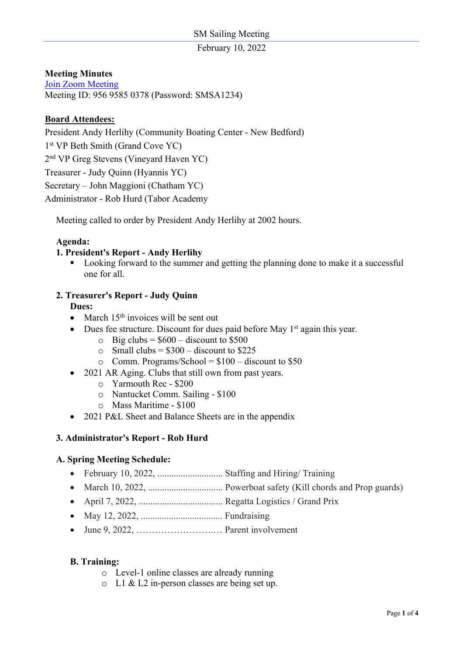February 10, 2022

# **Meeting Minutes**

Join Zoom Meeting Meeting ID: 956 9585 0378 (Password: SMSA1234)

# **Board Attendees:**

President Andy Herlihy (Community Boating Center - New Bedford)

1<sup>st</sup> VP Beth Smith (Grand Cove YC)

2nd VP Greg Stevens (Vineyard Haven YC)

Treasurer - Judy Quinn (Hyannis YC)

Secretary – John Maggioni (Chatham YC)

Administrator - Rob Hurd (Tabor Academy

Meeting called to order by President Andy Herlihy at 2002 hours.

### **Agenda:**

### **1. President's Report - Andy Herlihy**

■ Looking forward to the summer and getting the planning done to make it a successful one for all.

# **2. Treasurer's Report - Judy Quinn**

**Dues:**

- March  $15<sup>th</sup>$  invoices will be sent out
- Dues fee structure. Discount for dues paid before May  $1<sup>st</sup>$  again this year.
	- $\circ$  Big clubs = \$600 discount to \$500
	- $\circ$  Small clubs = \$300 discount to \$225
	- $\circ$  Comm. Programs/School = \$100 discount to \$50
- 2021 AR Aging. Clubs that still own from past years.
	- o Yarmouth Rec \$200
	- o Nantucket Comm. Sailing \$100
	- o Mass Maritime \$100
- 2021 P&L Sheet and Balance Sheets are in the appendix

#### **3. Administrator's Report - Rob Hurd**

## **A. Spring Meeting Schedule:**

- February 10, 2022, ............................ Staffing and Hiring/ Training
- March 10, 2022, ................................ Powerboat safety (Kill chords and Prop guards)
- April 7, 2022, .................................... Regatta Logistics / Grand Prix
- May 12, 2022, ................................... Fundraising
- June 9, 2022, …………………….… Parent involvement

#### **B. Training:**

- o Level-1 online classes are already running
- o L1 & L2 in-person classes are being set up.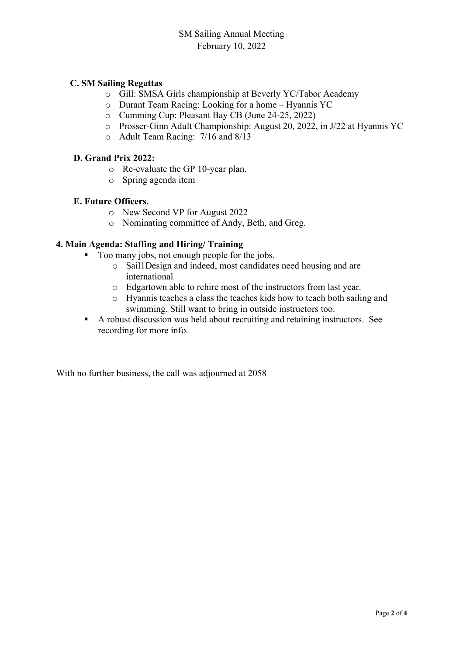# **C. SM Sailing Regattas**

- o Gill: SMSA Girls championship at Beverly YC/Tabor Academy
- o Durant Team Racing: Looking for a home Hyannis YC
- o Cumming Cup: Pleasant Bay CB (June 24-25, 2022)
- o Prosser-Ginn Adult Championship: August 20, 2022, in J/22 at Hyannis YC
- o Adult Team Racing: 7/16 and 8/13

## **D. Grand Prix 2022:**

- o Re-evaluate the GP 10-year plan.
- o Spring agenda item

### **E. Future Officers.**

- o New Second VP for August 2022
- o Nominating committee of Andy, Beth, and Greg.

### **4. Main Agenda: Staffing and Hiring/ Training**

- Too many jobs, not enough people for the jobs.
	- o Sail1Design and indeed, most candidates need housing and are international
	- o Edgartown able to rehire most of the instructors from last year.
	- o Hyannis teaches a class the teaches kids how to teach both sailing and swimming. Still want to bring in outside instructors too.
- § A robust discussion was held about recruiting and retaining instructors. See recording for more info.

With no further business, the call was adjourned at 2058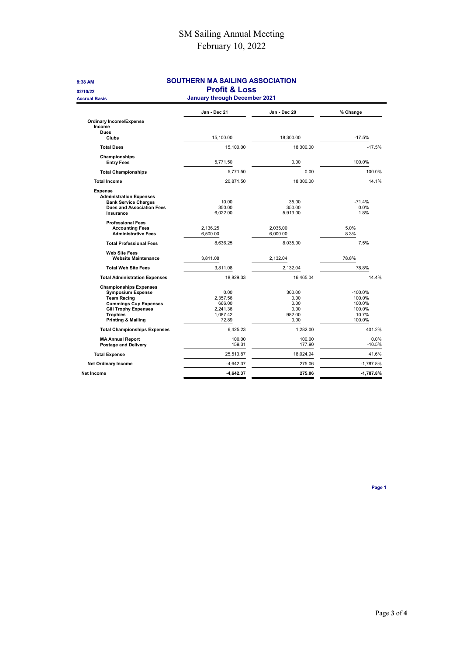# SM Sailing Annual Meeting February 10, 2022

| 8:38 AM                              | SOUTHERN MA SAILING ASSOCIATION      |              |             |
|--------------------------------------|--------------------------------------|--------------|-------------|
| 02/10/22                             | <b>Profit &amp; Loss</b>             |              |             |
| <b>Accrual Basis</b>                 | <b>January through December 2021</b> |              |             |
|                                      | Jan - Dec 21                         | Jan - Dec 20 | % Change    |
| <b>Ordinary Income/Expense</b>       |                                      |              |             |
| Income                               |                                      |              |             |
| <b>Dues</b><br>Clubs                 | 15,100.00                            | 18,300.00    | $-17.5%$    |
|                                      |                                      |              |             |
| <b>Total Dues</b>                    | 15,100.00                            | 18,300.00    | $-17.5%$    |
| Championships                        |                                      |              |             |
| <b>Entry Fees</b>                    | 5,771.50                             | 0.00         | 100.0%      |
| <b>Total Championships</b>           | 5,771.50                             | 0.00         | 100.0%      |
| <b>Total Income</b>                  | 20,871.50                            | 18,300.00    | 14.1%       |
| <b>Expense</b>                       |                                      |              |             |
| <b>Administration Expenses</b>       |                                      |              |             |
| <b>Bank Service Charges</b>          | 10.00                                | 35.00        | $-71.4%$    |
| <b>Dues and Association Fees</b>     | 350.00                               | 350.00       | 0.0%        |
| Insurance                            | 6,022.00                             | 5,913.00     | 1.8%        |
| <b>Professional Fees</b>             |                                      |              |             |
| <b>Accounting Fees</b>               | 2,136.25                             | 2,035.00     | 5.0%        |
| <b>Administrative Fees</b>           | 6,500.00                             | 6,000.00     | 8.3%        |
| <b>Total Professional Fees</b>       | 8,636.25                             | 8,035.00     | 7.5%        |
| <b>Web Site Fees</b>                 |                                      |              |             |
| <b>Website Maintenance</b>           | 3.811.08                             | 2.132.04     | 78.8%       |
| <b>Total Web Site Fees</b>           | 3.811.08                             | 2,132.04     | 78.8%       |
| <b>Total Administration Expenses</b> | 18,829.33                            | 16,465.04    | 14.4%       |
| <b>Championships Expenses</b>        |                                      |              |             |
| <b>Symposium Expense</b>             | 0.00                                 | 300.00       | $-100.0%$   |
| <b>Team Racing</b>                   | 2,357.56                             | 0.00         | 100.0%      |
| <b>Cummings Cup Expenses</b>         | 666.00                               | 0.00         | 100.0%      |
| <b>Gill Trophy Expenses</b>          | 2,241.36                             | 0.00         | 100.0%      |
| <b>Trophies</b>                      | 1,087.42                             | 982.00       | 10.7%       |
| <b>Printing &amp; Mailing</b>        | 72.89                                | 0.00         | 100.0%      |
| <b>Total Championships Expenses</b>  | 6.425.23                             | 1.282.00     | 401.2%      |
| <b>MA Annual Report</b>              | 100.00                               | 100.00       | 0.0%        |
| <b>Postage and Delivery</b>          | 159.31                               | 177.90       | $-10.5%$    |
| <b>Total Expense</b>                 | 25,513.87                            | 18,024.94    | 41.6%       |
| <b>Net Ordinary Income</b>           | $-4,642.37$                          | 275.06       | $-1,787.8%$ |
| <b>Net Income</b>                    | $-4,642.37$                          | 275.06       | $-1,787.8%$ |
|                                      |                                      |              |             |

Page 1